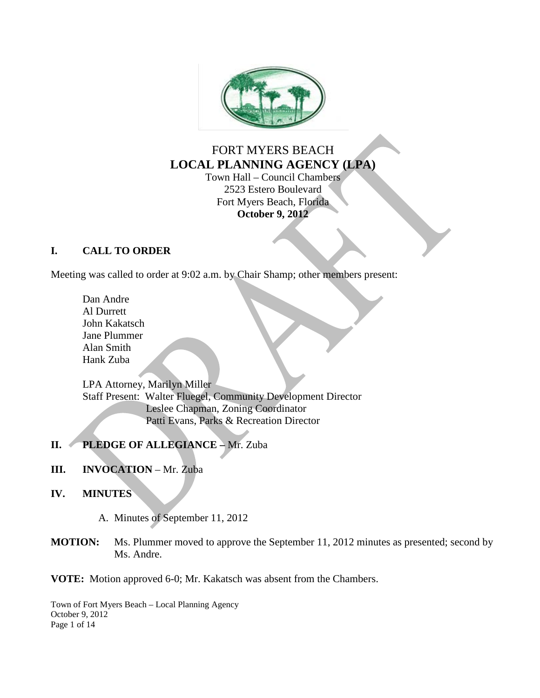

# FORT MYERS BEACH **LOCAL PLANNING AGENCY (LPA)**

Town Hall – Council Chambers 2523 Estero Boulevard Fort Myers Beach, Florida **October 9, 2012**

### **I. CALL TO ORDER**

Meeting was called to order at 9:02 a.m. by Chair Shamp; other members present:

Dan Andre Al Durrett John Kakatsch Jane Plummer Alan Smith Hank Zuba

LPA Attorney, Marilyn Miller Staff Present: Walter Fluegel, Community Development Director Leslee Chapman, Zoning Coordinator Patti Evans, Parks & Recreation Director

### **II. PLEDGE OF ALLEGIANCE –** Mr. Zuba

### **III. INVOCATION** – Mr. Zuba

- **IV. MINUTES**
	- A. Minutes of September 11, 2012
- **MOTION:** Ms. Plummer moved to approve the September 11, 2012 minutes as presented; second by Ms. Andre.

**VOTE:** Motion approved 6-0; Mr. Kakatsch was absent from the Chambers.

Town of Fort Myers Beach – Local Planning Agency October 9, 2012 Page 1 of 14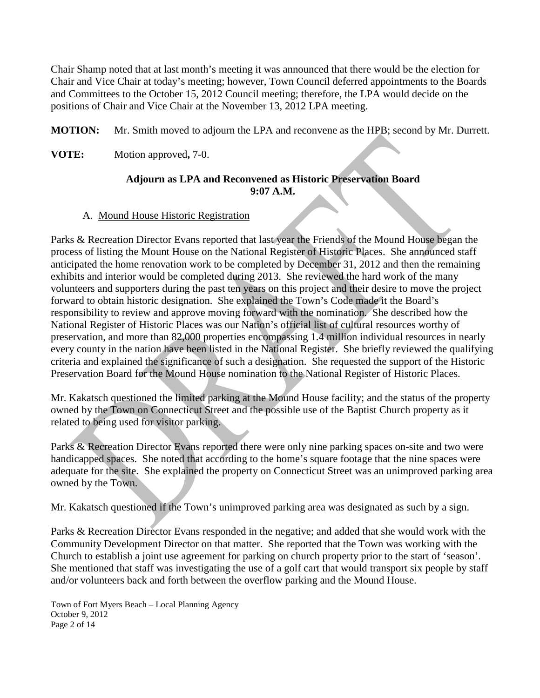Chair Shamp noted that at last month's meeting it was announced that there would be the election for Chair and Vice Chair at today's meeting; however, Town Council deferred appointments to the Boards and Committees to the October 15, 2012 Council meeting; therefore, the LPA would decide on the positions of Chair and Vice Chair at the November 13, 2012 LPA meeting.

**MOTION:** Mr. Smith moved to adjourn the LPA and reconvene as the HPB; second by Mr. Durrett.

**VOTE:** Motion approved**,** 7-0.

### **Adjourn as LPA and Reconvened as Historic Preservation Board 9:07 A.M.**

#### A. Mound House Historic Registration

Parks & Recreation Director Evans reported that last year the Friends of the Mound House began the process of listing the Mount House on the National Register of Historic Places. She announced staff anticipated the home renovation work to be completed by December 31, 2012 and then the remaining exhibits and interior would be completed during 2013. She reviewed the hard work of the many volunteers and supporters during the past ten years on this project and their desire to move the project forward to obtain historic designation. She explained the Town's Code made it the Board's responsibility to review and approve moving forward with the nomination. She described how the National Register of Historic Places was our Nation's official list of cultural resources worthy of preservation, and more than 82,000 properties encompassing 1.4 million individual resources in nearly every county in the nation have been listed in the National Register. She briefly reviewed the qualifying criteria and explained the significance of such a designation. She requested the support of the Historic Preservation Board for the Mound House nomination to the National Register of Historic Places.

Mr. Kakatsch questioned the limited parking at the Mound House facility; and the status of the property owned by the Town on Connecticut Street and the possible use of the Baptist Church property as it related to being used for visitor parking.

Parks & Recreation Director Evans reported there were only nine parking spaces on-site and two were handicapped spaces. She noted that according to the home's square footage that the nine spaces were adequate for the site. She explained the property on Connecticut Street was an unimproved parking area owned by the Town.

Mr. Kakatsch questioned if the Town's unimproved parking area was designated as such by a sign.

Parks & Recreation Director Evans responded in the negative; and added that she would work with the Community Development Director on that matter. She reported that the Town was working with the Church to establish a joint use agreement for parking on church property prior to the start of 'season'. She mentioned that staff was investigating the use of a golf cart that would transport six people by staff and/or volunteers back and forth between the overflow parking and the Mound House.

Town of Fort Myers Beach – Local Planning Agency October 9, 2012 Page 2 of 14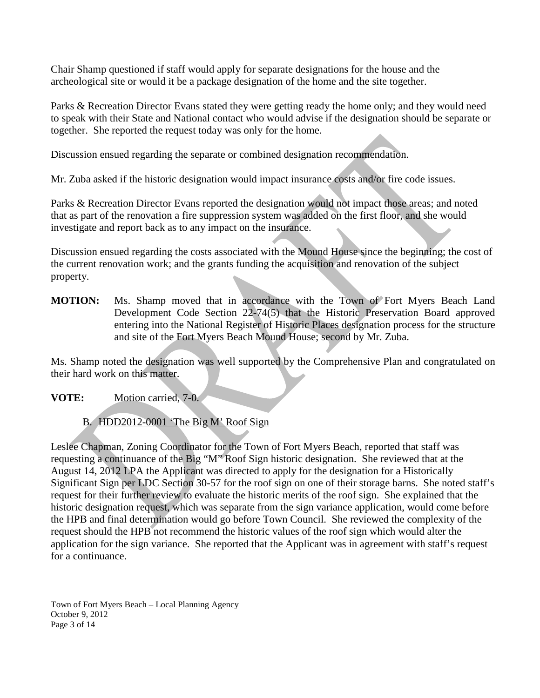Chair Shamp questioned if staff would apply for separate designations for the house and the archeological site or would it be a package designation of the home and the site together.

Parks & Recreation Director Evans stated they were getting ready the home only; and they would need to speak with their State and National contact who would advise if the designation should be separate or together. She reported the request today was only for the home.

Discussion ensued regarding the separate or combined designation recommendation.

Mr. Zuba asked if the historic designation would impact insurance costs and/or fire code issues.

Parks & Recreation Director Evans reported the designation would not impact those areas; and noted that as part of the renovation a fire suppression system was added on the first floor, and she would investigate and report back as to any impact on the insurance.

Discussion ensued regarding the costs associated with the Mound House since the beginning; the cost of the current renovation work; and the grants funding the acquisition and renovation of the subject property.

**MOTION:** Ms. Shamp moved that in accordance with the Town of Fort Myers Beach Land Development Code Section 22-74(5) that the Historic Preservation Board approved entering into the National Register of Historic Places designation process for the structure and site of the Fort Myers Beach Mound House; second by Mr. Zuba.

Ms. Shamp noted the designation was well supported by the Comprehensive Plan and congratulated on their hard work on this matter.

**VOTE:** Motion carried, 7-0.

B. HDD2012-0001 'The Big M' Roof Sign

Leslee Chapman, Zoning Coordinator for the Town of Fort Myers Beach, reported that staff was requesting a continuance of the Big "M" Roof Sign historic designation. She reviewed that at the August 14, 2012 LPA the Applicant was directed to apply for the designation for a Historically Significant Sign per LDC Section 30-57 for the roof sign on one of their storage barns. She noted staff's request for their further review to evaluate the historic merits of the roof sign. She explained that the historic designation request, which was separate from the sign variance application, would come before the HPB and final determination would go before Town Council. She reviewed the complexity of the request should the HPB not recommend the historic values of the roof sign which would alter the application for the sign variance. She reported that the Applicant was in agreement with staff's request for a continuance.

Town of Fort Myers Beach – Local Planning Agency October 9, 2012 Page 3 of 14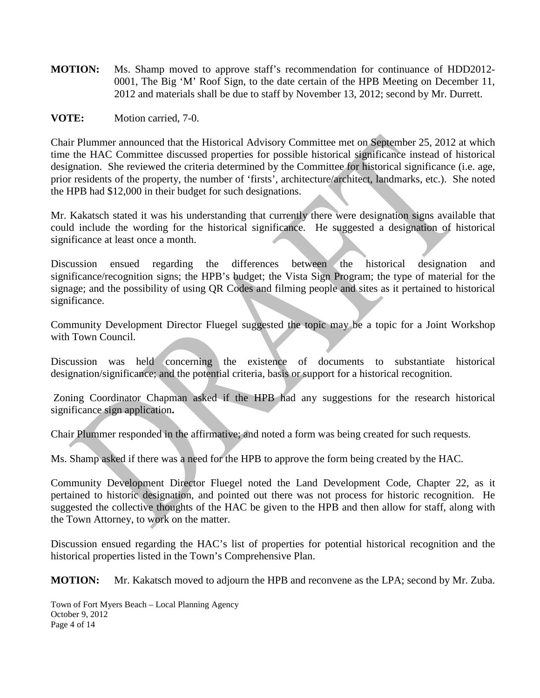- **MOTION:** Ms. Shamp moved to approve staff's recommendation for continuance of HDD2012- 0001, The Big 'M' Roof Sign, to the date certain of the HPB Meeting on December 11, 2012 and materials shall be due to staff by November 13, 2012; second by Mr. Durrett.
- **VOTE:** Motion carried, 7-0.

Chair Plummer announced that the Historical Advisory Committee met on September 25, 2012 at which time the HAC Committee discussed properties for possible historical significance instead of historical designation. She reviewed the criteria determined by the Committee for historical significance (i.e. age, prior residents of the property, the number of 'firsts', architecture/architect, landmarks, etc.). She noted the HPB had \$12,000 in their budget for such designations.

Mr. Kakatsch stated it was his understanding that currently there were designation signs available that could include the wording for the historical significance. He suggested a designation of historical significance at least once a month.

Discussion ensued regarding the differences between the historical designation and significance/recognition signs; the HPB's budget; the Vista Sign Program; the type of material for the signage; and the possibility of using QR Codes and filming people and sites as it pertained to historical significance.

Community Development Director Fluegel suggested the topic may be a topic for a Joint Workshop with Town Council.

Discussion was held concerning the existence of documents to substantiate historical designation/significance; and the potential criteria, basis or support for a historical recognition.

Zoning Coordinator Chapman asked if the HPB had any suggestions for the research historical significance sign application**.**

Chair Plummer responded in the affirmative; and noted a form was being created for such requests.

Ms. Shamp asked if there was a need for the HPB to approve the form being created by the HAC.

Community Development Director Fluegel noted the Land Development Code, Chapter 22, as it pertained to historic designation, and pointed out there was not process for historic recognition. He suggested the collective thoughts of the HAC be given to the HPB and then allow for staff, along with the Town Attorney, to work on the matter.

Discussion ensued regarding the HAC's list of properties for potential historical recognition and the historical properties listed in the Town's Comprehensive Plan.

**MOTION:** Mr. Kakatsch moved to adjourn the HPB and reconvene as the LPA; second by Mr. Zuba.

Town of Fort Myers Beach – Local Planning Agency October 9, 2012 Page 4 of 14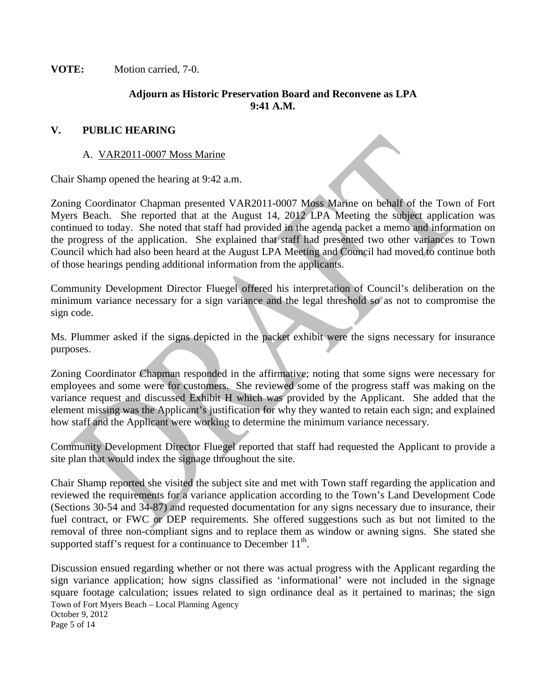**VOTE:** Motion carried, 7-0.

#### **Adjourn as Historic Preservation Board and Reconvene as LPA 9:41 A.M.**

#### **V. PUBLIC HEARING**

#### A. VAR2011-0007 Moss Marine

Chair Shamp opened the hearing at 9:42 a.m.

Zoning Coordinator Chapman presented VAR2011-0007 Moss Marine on behalf of the Town of Fort Myers Beach. She reported that at the August 14, 2012 LPA Meeting the subject application was continued to today. She noted that staff had provided in the agenda packet a memo and information on the progress of the application. She explained that staff had presented two other variances to Town Council which had also been heard at the August LPA Meeting and Council had moved to continue both of those hearings pending additional information from the applicants.

Community Development Director Fluegel offered his interpretation of Council's deliberation on the minimum variance necessary for a sign variance and the legal threshold so as not to compromise the sign code.

Ms. Plummer asked if the signs depicted in the packet exhibit were the signs necessary for insurance purposes.

Zoning Coordinator Chapman responded in the affirmative; noting that some signs were necessary for employees and some were for customers. She reviewed some of the progress staff was making on the variance request and discussed Exhibit H which was provided by the Applicant. She added that the element missing was the Applicant's justification for why they wanted to retain each sign; and explained how staff and the Applicant were working to determine the minimum variance necessary.

Community Development Director Fluegel reported that staff had requested the Applicant to provide a site plan that would index the signage throughout the site.

Chair Shamp reported she visited the subject site and met with Town staff regarding the application and reviewed the requirements for a variance application according to the Town's Land Development Code (Sections 30-54 and 34-87) and requested documentation for any signs necessary due to insurance, their fuel contract, or FWC or DEP requirements. She offered suggestions such as but not limited to the removal of three non-compliant signs and to replace them as window or awning signs. She stated she supported staff's request for a continuance to December  $11<sup>th</sup>$ .

Town of Fort Myers Beach – Local Planning Agency October 9, 2012 Page 5 of 14 Discussion ensued regarding whether or not there was actual progress with the Applicant regarding the sign variance application; how signs classified as 'informational' were not included in the signage square footage calculation; issues related to sign ordinance deal as it pertained to marinas; the sign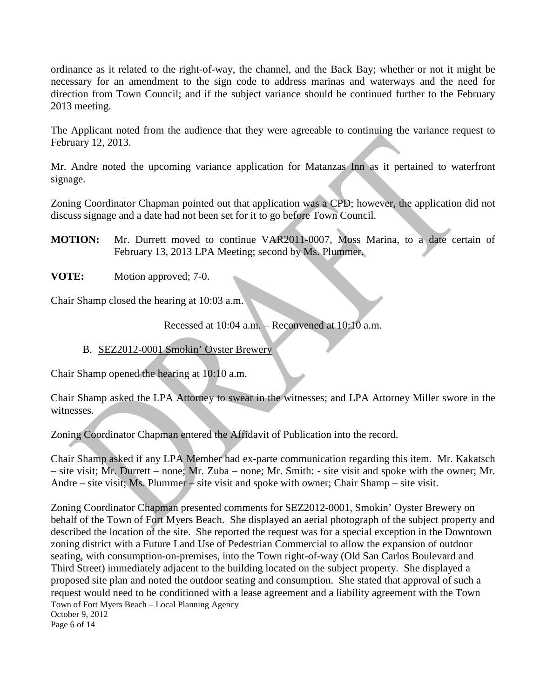ordinance as it related to the right-of-way, the channel, and the Back Bay; whether or not it might be necessary for an amendment to the sign code to address marinas and waterways and the need for direction from Town Council; and if the subject variance should be continued further to the February 2013 meeting.

The Applicant noted from the audience that they were agreeable to continuing the variance request to February 12, 2013.

Mr. Andre noted the upcoming variance application for Matanzas Inn as it pertained to waterfront signage.

Zoning Coordinator Chapman pointed out that application was a CPD; however, the application did not discuss signage and a date had not been set for it to go before Town Council.

**MOTION:** Mr. Durrett moved to continue VAR2011-0007, Moss Marina, to a date certain of February 13, 2013 LPA Meeting; second by Ms. Plummer.

**VOTE:** Motion approved; 7-0.

Chair Shamp closed the hearing at 10:03 a.m.

Recessed at 10:04 a.m. – Reconvened at 10:10 a.m.

B. SEZ2012-0001 Smokin' Oyster Brewery

Chair Shamp opened the hearing at 10:10 a.m.

Chair Shamp asked the LPA Attorney to swear in the witnesses; and LPA Attorney Miller swore in the witnesses.

Zoning Coordinator Chapman entered the Affidavit of Publication into the record.

Chair Shamp asked if any LPA Member had ex-parte communication regarding this item. Mr. Kakatsch – site visit; Mr. Durrett – none; Mr. Zuba – none; Mr. Smith: - site visit and spoke with the owner; Mr. Andre – site visit; Ms. Plummer – site visit and spoke with owner; Chair Shamp – site visit.

Town of Fort Myers Beach – Local Planning Agency October 9, 2012 Page 6 of 14 Zoning Coordinator Chapman presented comments for SEZ2012-0001, Smokin' Oyster Brewery on behalf of the Town of Fort Myers Beach. She displayed an aerial photograph of the subject property and described the location of the site. She reported the request was for a special exception in the Downtown zoning district with a Future Land Use of Pedestrian Commercial to allow the expansion of outdoor seating, with consumption-on-premises, into the Town right-of-way (Old San Carlos Boulevard and Third Street) immediately adjacent to the building located on the subject property. She displayed a proposed site plan and noted the outdoor seating and consumption. She stated that approval of such a request would need to be conditioned with a lease agreement and a liability agreement with the Town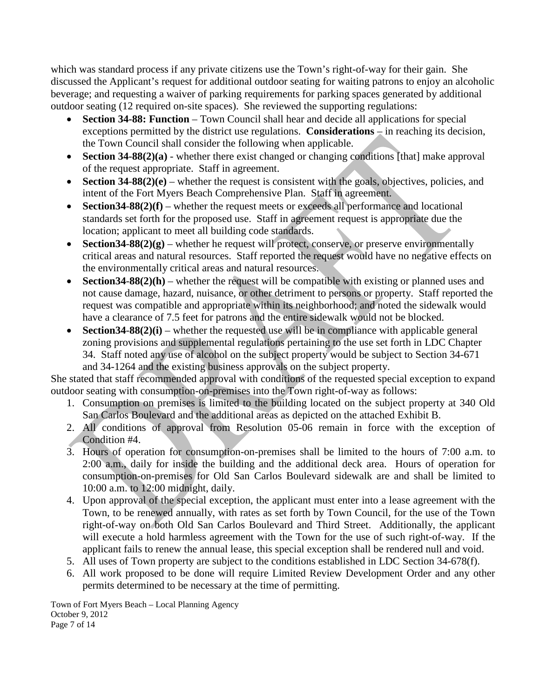which was standard process if any private citizens use the Town's right-of-way for their gain. She discussed the Applicant's request for additional outdoor seating for waiting patrons to enjoy an alcoholic beverage; and requesting a waiver of parking requirements for parking spaces generated by additional outdoor seating (12 required on-site spaces). She reviewed the supporting regulations:

- **Section 34-88: Function** Town Council shall hear and decide all applications for special exceptions permitted by the district use regulations. **Considerations** – in reaching its decision, the Town Council shall consider the following when applicable.
- **Section 34-88(2)(a)** whether there exist changed or changing conditions [that] make approval of the request appropriate. Staff in agreement.
- **Section 34-88(2)(e)** whether the request is consistent with the goals, objectives, policies, and intent of the Fort Myers Beach Comprehensive Plan. Staff in agreement.
- **Section 34-88(2)(f)** whether the request meets or exceeds all performance and locational standards set forth for the proposed use. Staff in agreement request is appropriate due the location; applicant to meet all building code standards.
- **Section 34-88(2)(g)** whether he request will protect, conserve, or preserve environmentally critical areas and natural resources. Staff reported the request would have no negative effects on the environmentally critical areas and natural resources.
- **Section 34-88(2)(h)** whether the request will be compatible with existing or planned uses and not cause damage, hazard, nuisance, or other detriment to persons or property. Staff reported the request was compatible and appropriate within its neighborhood; and noted the sidewalk would have a clearance of 7.5 feet for patrons and the entire sidewalk would not be blocked.
- **Section 34-88(2)(i)** whether the requested use will be in compliance with applicable general zoning provisions and supplemental regulations pertaining to the use set forth in LDC Chapter 34. Staff noted any use of alcohol on the subject property would be subject to Section 34-671 and 34-1264 and the existing business approvals on the subject property.

She stated that staff recommended approval with conditions of the requested special exception to expand outdoor seating with consumption-on-premises into the Town right-of-way as follows:

- 1. Consumption on premises is limited to the building located on the subject property at 340 Old San Carlos Boulevard and the additional areas as depicted on the attached Exhibit B.
- 2. All conditions of approval from Resolution 05-06 remain in force with the exception of Condition #4.
- 3. Hours of operation for consumption-on-premises shall be limited to the hours of 7:00 a.m. to 2:00 a.m., daily for inside the building and the additional deck area. Hours of operation for consumption-on-premises for Old San Carlos Boulevard sidewalk are and shall be limited to 10:00 a.m. to 12:00 midnight, daily.
- 4. Upon approval of the special exception, the applicant must enter into a lease agreement with the Town, to be renewed annually, with rates as set forth by Town Council, for the use of the Town right-of-way on both Old San Carlos Boulevard and Third Street. Additionally, the applicant will execute a hold harmless agreement with the Town for the use of such right-of-way. If the applicant fails to renew the annual lease, this special exception shall be rendered null and void.
- 5. All uses of Town property are subject to the conditions established in LDC Section 34-678(f).
- 6. All work proposed to be done will require Limited Review Development Order and any other permits determined to be necessary at the time of permitting.

Town of Fort Myers Beach – Local Planning Agency October 9, 2012 Page 7 of 14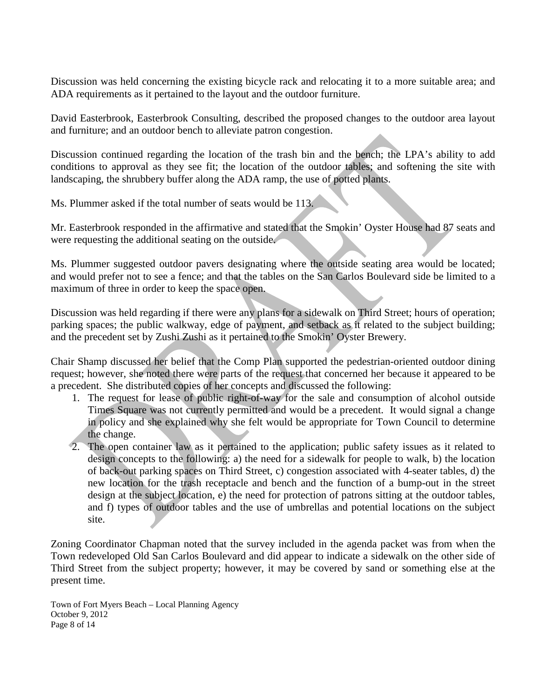Discussion was held concerning the existing bicycle rack and relocating it to a more suitable area; and ADA requirements as it pertained to the layout and the outdoor furniture.

David Easterbrook, Easterbrook Consulting, described the proposed changes to the outdoor area layout and furniture; and an outdoor bench to alleviate patron congestion.

Discussion continued regarding the location of the trash bin and the bench; the LPA's ability to add conditions to approval as they see fit; the location of the outdoor tables; and softening the site with landscaping, the shrubbery buffer along the ADA ramp, the use of potted plants.

Ms. Plummer asked if the total number of seats would be 113.

Mr. Easterbrook responded in the affirmative and stated that the Smokin' Oyster House had 87 seats and were requesting the additional seating on the outside.

Ms. Plummer suggested outdoor pavers designating where the outside seating area would be located; and would prefer not to see a fence; and that the tables on the San Carlos Boulevard side be limited to a maximum of three in order to keep the space open.

Discussion was held regarding if there were any plans for a sidewalk on Third Street; hours of operation; parking spaces; the public walkway, edge of payment, and setback as it related to the subject building; and the precedent set by Zushi Zushi as it pertained to the Smokin' Oyster Brewery.

Chair Shamp discussed her belief that the Comp Plan supported the pedestrian-oriented outdoor dining request; however, she noted there were parts of the request that concerned her because it appeared to be a precedent. She distributed copies of her concepts and discussed the following:

- 1. The request for lease of public right-of-way for the sale and consumption of alcohol outside Times Square was not currently permitted and would be a precedent. It would signal a change in policy and she explained why she felt would be appropriate for Town Council to determine the change.
- 2. The open container law as it pertained to the application; public safety issues as it related to design concepts to the following: a) the need for a sidewalk for people to walk, b) the location of back-out parking spaces on Third Street, c) congestion associated with 4-seater tables, d) the new location for the trash receptacle and bench and the function of a bump-out in the street design at the subject location, e) the need for protection of patrons sitting at the outdoor tables, and f) types of outdoor tables and the use of umbrellas and potential locations on the subject site.

Zoning Coordinator Chapman noted that the survey included in the agenda packet was from when the Town redeveloped Old San Carlos Boulevard and did appear to indicate a sidewalk on the other side of Third Street from the subject property; however, it may be covered by sand or something else at the present time.

Town of Fort Myers Beach – Local Planning Agency October 9, 2012 Page 8 of 14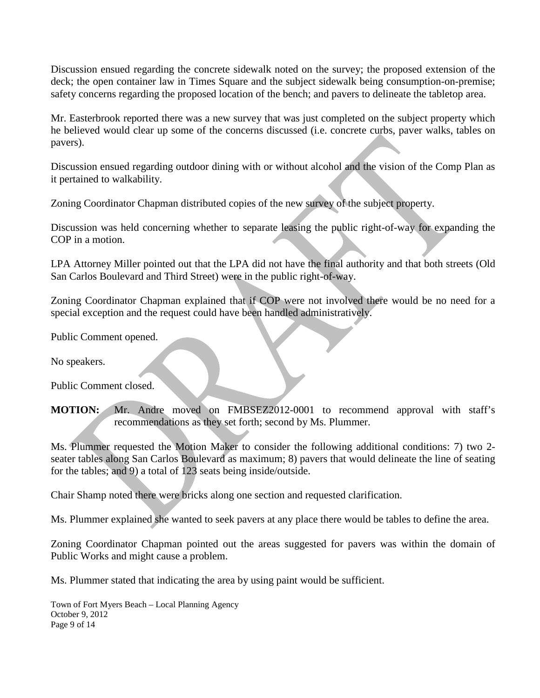Discussion ensued regarding the concrete sidewalk noted on the survey; the proposed extension of the deck; the open container law in Times Square and the subject sidewalk being consumption-on-premise; safety concerns regarding the proposed location of the bench; and pavers to delineate the tabletop area.

Mr. Easterbrook reported there was a new survey that was just completed on the subject property which he believed would clear up some of the concerns discussed (i.e. concrete curbs, paver walks, tables on pavers).

Discussion ensued regarding outdoor dining with or without alcohol and the vision of the Comp Plan as it pertained to walkability.

Zoning Coordinator Chapman distributed copies of the new survey of the subject property.

Discussion was held concerning whether to separate leasing the public right-of-way for expanding the COP in a motion.

LPA Attorney Miller pointed out that the LPA did not have the final authority and that both streets (Old San Carlos Boulevard and Third Street) were in the public right-of-way.

Zoning Coordinator Chapman explained that if COP were not involved there would be no need for a special exception and the request could have been handled administratively.

Public Comment opened.

No speakers.

Public Comment closed.

**MOTION:** Mr. Andre moved on FMBSEZ2012-0001 to recommend approval with staff's recommendations as they set forth; second by Ms. Plummer.

Ms. Plummer requested the Motion Maker to consider the following additional conditions: 7) two 2 seater tables along San Carlos Boulevard as maximum; 8) pavers that would delineate the line of seating for the tables; and 9) a total of 123 seats being inside/outside.

Chair Shamp noted there were bricks along one section and requested clarification.

Ms. Plummer explained she wanted to seek pavers at any place there would be tables to define the area.

Zoning Coordinator Chapman pointed out the areas suggested for pavers was within the domain of Public Works and might cause a problem.

Ms. Plummer stated that indicating the area by using paint would be sufficient.

Town of Fort Myers Beach – Local Planning Agency October 9, 2012 Page 9 of 14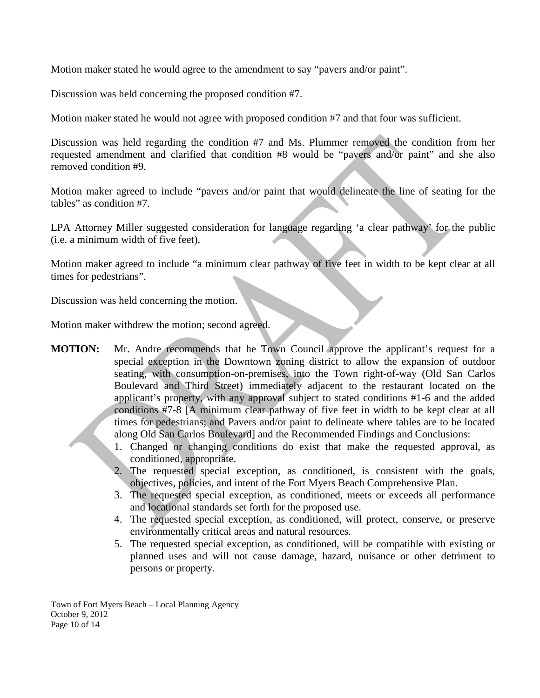Motion maker stated he would agree to the amendment to say "pavers and/or paint".

Discussion was held concerning the proposed condition #7.

Motion maker stated he would not agree with proposed condition #7 and that four was sufficient.

Discussion was held regarding the condition #7 and Ms. Plummer removed the condition from her requested amendment and clarified that condition #8 would be "pavers and/or paint" and she also removed condition #9.

Motion maker agreed to include "pavers and/or paint that would delineate the line of seating for the tables" as condition #7.

LPA Attorney Miller suggested consideration for language regarding 'a clear pathway' for the public (i.e. a minimum width of five feet).

Motion maker agreed to include "a minimum clear pathway of five feet in width to be kept clear at all times for pedestrians".

Discussion was held concerning the motion.

Motion maker withdrew the motion; second agreed.

- **MOTION:** Mr. Andre recommends that he Town Council approve the applicant's request for a special exception in the Downtown zoning district to allow the expansion of outdoor seating, with consumption-on-premises, into the Town right-of-way (Old San Carlos Boulevard and Third Street) immediately adjacent to the restaurant located on the applicant's property, with any approval subject to stated conditions #1-6 and the added conditions #7-8 [A minimum clear pathway of five feet in width to be kept clear at all times for pedestrians; and Pavers and/or paint to delineate where tables are to be located along Old San Carlos Boulevard] and the Recommended Findings and Conclusions:
	- 1. Changed or changing conditions do exist that make the requested approval, as conditioned, appropriate.
	- 2. The requested special exception, as conditioned, is consistent with the goals, objectives, policies, and intent of the Fort Myers Beach Comprehensive Plan.
	- 3. The requested special exception, as conditioned, meets or exceeds all performance and locational standards set forth for the proposed use.
	- 4. The requested special exception, as conditioned, will protect, conserve, or preserve environmentally critical areas and natural resources.
	- 5. The requested special exception, as conditioned, will be compatible with existing or planned uses and will not cause damage, hazard, nuisance or other detriment to persons or property.

Town of Fort Myers Beach – Local Planning Agency October 9, 2012 Page 10 of 14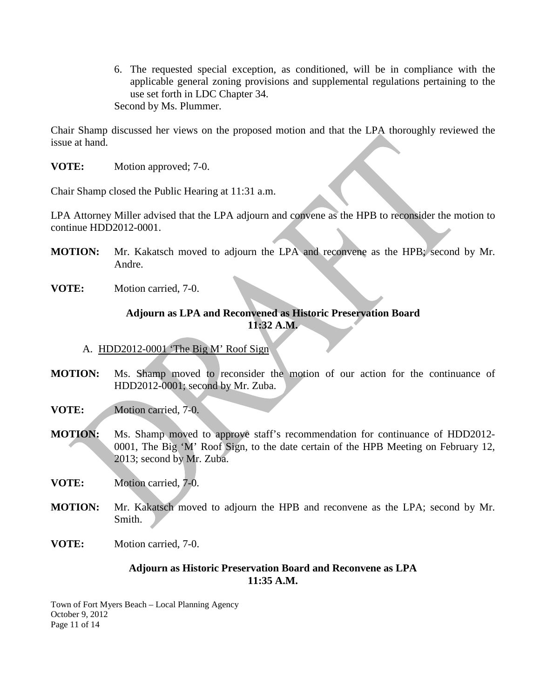6. The requested special exception, as conditioned, will be in compliance with the applicable general zoning provisions and supplemental regulations pertaining to the use set forth in LDC Chapter 34. Second by Ms. Plummer.

Chair Shamp discussed her views on the proposed motion and that the LPA thoroughly reviewed the issue at hand.

**VOTE:** Motion approved; 7-0.

Chair Shamp closed the Public Hearing at 11:31 a.m.

LPA Attorney Miller advised that the LPA adjourn and convene as the HPB to reconsider the motion to continue HDD2012-0001.

- **MOTION:** Mr. Kakatsch moved to adjourn the LPA and reconvene as the HPB; second by Mr. Andre.
- **VOTE:** Motion carried, 7-0.

### **Adjourn as LPA and Reconvened as Historic Preservation Board 11:32 A.M.**

- A. HDD2012-0001 'The Big M' Roof Sign
- **MOTION:** Ms. Shamp moved to reconsider the motion of our action for the continuance of HDD2012-0001; second by Mr. Zuba.
- **VOTE:** Motion carried, 7-0.
- **MOTION:** Ms. Shamp moved to approve staff's recommendation for continuance of HDD2012- 0001, The Big 'M' Roof Sign, to the date certain of the HPB Meeting on February 12, 2013; second by Mr. Zuba.
- **VOTE:** Motion carried, 7-0.
- **MOTION:** Mr. Kakatsch moved to adjourn the HPB and reconvene as the LPA; second by Mr. Smith.
- **VOTE:** Motion carried, 7-0.

#### **Adjourn as Historic Preservation Board and Reconvene as LPA 11:35 A.M.**

Town of Fort Myers Beach – Local Planning Agency October 9, 2012 Page 11 of 14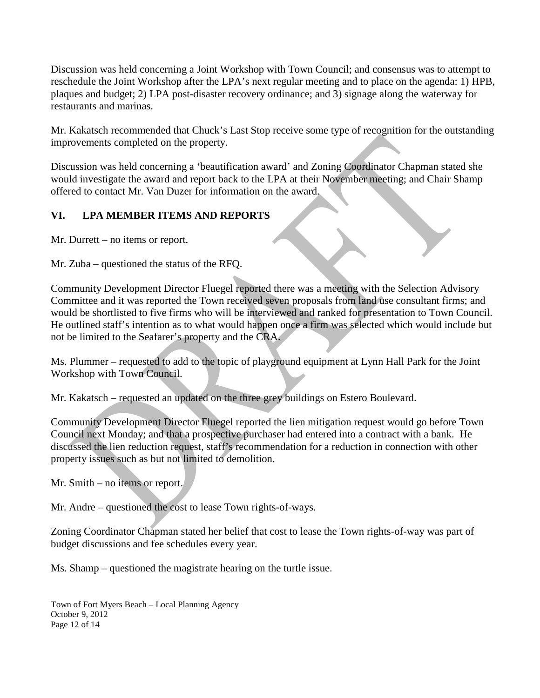Discussion was held concerning a Joint Workshop with Town Council; and consensus was to attempt to reschedule the Joint Workshop after the LPA's next regular meeting and to place on the agenda: 1) HPB, plaques and budget; 2) LPA post-disaster recovery ordinance; and 3) signage along the waterway for restaurants and marinas.

Mr. Kakatsch recommended that Chuck's Last Stop receive some type of recognition for the outstanding improvements completed on the property.

Discussion was held concerning a 'beautification award' and Zoning Coordinator Chapman stated she would investigate the award and report back to the LPA at their November meeting; and Chair Shamp offered to contact Mr. Van Duzer for information on the award.

# **VI. LPA MEMBER ITEMS AND REPORTS**

Mr. Durrett – no items or report.

Mr. Zuba – questioned the status of the RFQ.

Community Development Director Fluegel reported there was a meeting with the Selection Advisory Committee and it was reported the Town received seven proposals from land use consultant firms; and would be shortlisted to five firms who will be interviewed and ranked for presentation to Town Council. He outlined staff's intention as to what would happen once a firm was selected which would include but not be limited to the Seafarer's property and the CRA.

Ms. Plummer – requested to add to the topic of playground equipment at Lynn Hall Park for the Joint Workshop with Town Council.

Mr. Kakatsch – requested an updated on the three grey buildings on Estero Boulevard.

Community Development Director Fluegel reported the lien mitigation request would go before Town Council next Monday; and that a prospective purchaser had entered into a contract with a bank. He discussed the lien reduction request, staff's recommendation for a reduction in connection with other property issues such as but not limited to demolition.

Mr. Smith – no items or report.

Mr. Andre – questioned the cost to lease Town rights-of-ways.

Zoning Coordinator Chapman stated her belief that cost to lease the Town rights-of-way was part of budget discussions and fee schedules every year.

Ms. Shamp – questioned the magistrate hearing on the turtle issue.

Town of Fort Myers Beach – Local Planning Agency October 9, 2012 Page 12 of 14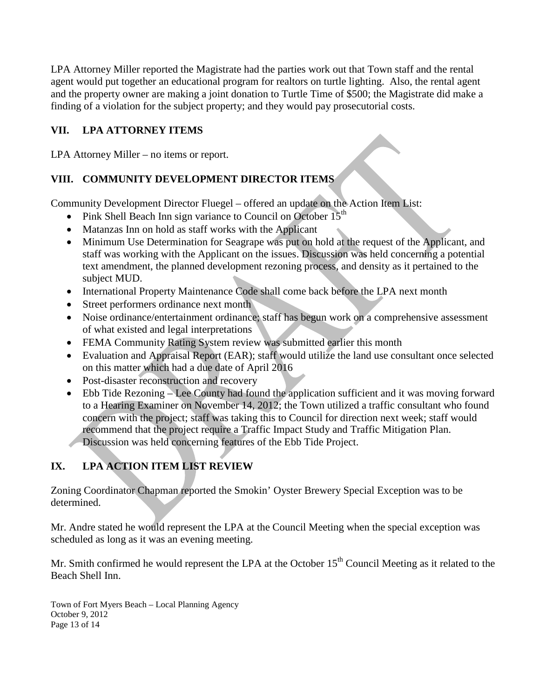LPA Attorney Miller reported the Magistrate had the parties work out that Town staff and the rental agent would put together an educational program for realtors on turtle lighting. Also, the rental agent and the property owner are making a joint donation to Turtle Time of \$500; the Magistrate did make a finding of a violation for the subject property; and they would pay prosecutorial costs.

# **VII. LPA ATTORNEY ITEMS**

LPA Attorney Miller – no items or report.

# **VIII. COMMUNITY DEVELOPMENT DIRECTOR ITEMS**

Community Development Director Fluegel – offered an update on the Action Item List:

- Pink Shell Beach Inn sign variance to Council on October  $15<sup>th</sup>$
- Matanzas Inn on hold as staff works with the Applicant
- Minimum Use Determination for Seagrape was put on hold at the request of the Applicant, and staff was working with the Applicant on the issues. Discussion was held concerning a potential text amendment, the planned development rezoning process, and density as it pertained to the subject MUD.
- International Property Maintenance Code shall come back before the LPA next month
- Street performers ordinance next month
- Noise ordinance/entertainment ordinance; staff has begun work on a comprehensive assessment of what existed and legal interpretations
- FEMA Community Rating System review was submitted earlier this month
- Evaluation and Appraisal Report (EAR); staff would utilize the land use consultant once selected on this matter which had a due date of April 2016
- Post-disaster reconstruction and recovery
- Ebb Tide Rezoning Lee County had found the application sufficient and it was moving forward to a Hearing Examiner on November 14, 2012; the Town utilized a traffic consultant who found concern with the project; staff was taking this to Council for direction next week; staff would recommend that the project require a Traffic Impact Study and Traffic Mitigation Plan. Discussion was held concerning features of the Ebb Tide Project.

# **IX. LPA ACTION ITEM LIST REVIEW**

Zoning Coordinator Chapman reported the Smokin' Oyster Brewery Special Exception was to be determined.

Mr. Andre stated he would represent the LPA at the Council Meeting when the special exception was scheduled as long as it was an evening meeting.

Mr. Smith confirmed he would represent the LPA at the October  $15<sup>th</sup>$  Council Meeting as it related to the Beach Shell Inn.

Town of Fort Myers Beach – Local Planning Agency October 9, 2012 Page 13 of 14